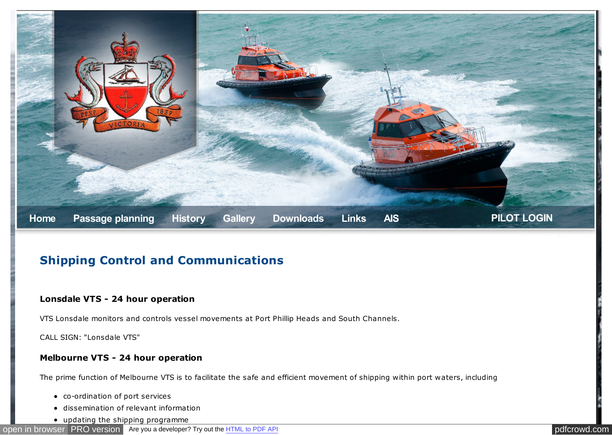

# **Shipping Control and Communications**

#### **Lonsdale VTS - 24 hour operation**

VTS Lonsdale monitors and controls vessel movements at Port Phillip Heads and South Channels.

CALL SIGN: "Lonsdale VTS"

#### **Melbourne VTS - 24 hour operation**

The prime function of Melbourne VTS is to facilitate the safe and efficient movement of shipping within port waters, including

- co-ordination of port services
- dissemination of relevant information
- updating the shipping programme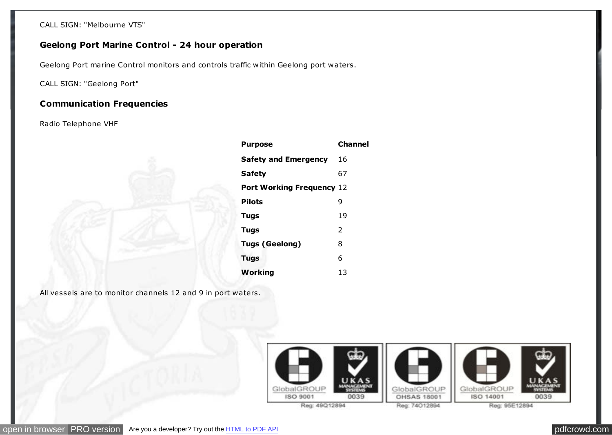CALL SIGN: "Melbourne VTS"

## **Geelong Port Marine Control - 24 hour operation**

Geelong Port marine Control monitors and controls traffic within Geelong port waters.

CALL SIGN: "Geelong Port"

### **Communication Frequencies**

Radio Telephone VHF



| <b>Purpose</b>                   | <b>Channel</b> |
|----------------------------------|----------------|
| <b>Safety and Emergency</b>      | 16             |
| <b>Safety</b>                    | 67             |
| <b>Port Working Frequency 12</b> |                |
| <b>Pilots</b>                    | 9              |
| <b>Tugs</b>                      | 19             |
| <b>Tugs</b>                      | $\mathcal{P}$  |
| <b>Tugs (Geelong)</b>            | 8              |
| <b>Tugs</b>                      | 6              |
| Working                          | 13             |

All vessels are to monitor channels 12 and 9 in port waters.